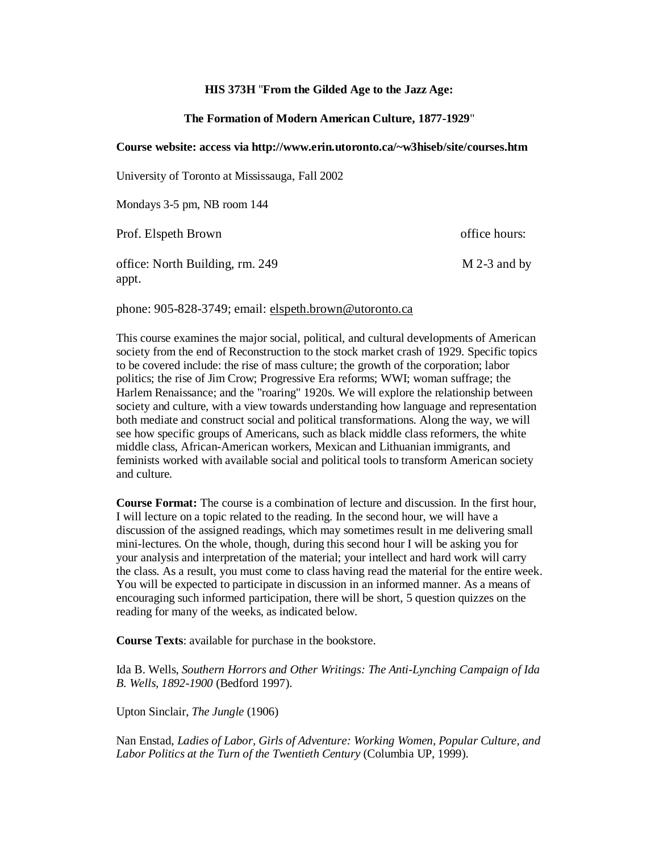#### **HIS 373H** "**From the Gilded Age to the Jazz Age:**

# **The Formation of Modern American Culture, 1877-1929**"

#### **Course website: access via http://www.erin.utoronto.ca/~w3hiseb/site/courses.htm**

University of Toronto at Mississauga, Fall 2002

Mondays 3-5 pm, NB room 144

Prof. Elspeth Brown **office** hours:

office: North Building, rm. 249 M 2-3 and by appt.

phone: 905-828-3749; email: elspeth.brown@utoronto.ca

This course examines the major social, political, and cultural developments of American society from the end of Reconstruction to the stock market crash of 1929. Specific topics to be covered include: the rise of mass culture; the growth of the corporation; labor politics; the rise of Jim Crow; Progressive Era reforms; WWI; woman suffrage; the Harlem Renaissance; and the "roaring" 1920s. We will explore the relationship between society and culture, with a view towards understanding how language and representation both mediate and construct social and political transformations. Along the way, we will see how specific groups of Americans, such as black middle class reformers, the white middle class, African-American workers, Mexican and Lithuanian immigrants, and feminists worked with available social and political tools to transform American society and culture.

**Course Format:** The course is a combination of lecture and discussion. In the first hour, I will lecture on a topic related to the reading. In the second hour, we will have a discussion of the assigned readings, which may sometimes result in me delivering small mini-lectures. On the whole, though, during this second hour I will be asking you for your analysis and interpretation of the material; your intellect and hard work will carry the class. As a result, you must come to class having read the material for the entire week. You will be expected to participate in discussion in an informed manner. As a means of encouraging such informed participation, there will be short, 5 question quizzes on the reading for many of the weeks, as indicated below.

**Course Texts**: available for purchase in the bookstore.

Ida B. Wells, *Southern Horrors and Other Writings: The Anti-Lynching Campaign of Ida B. Wells, 1892-1900* (Bedford 1997).

Upton Sinclair, *The Jungle* (1906)

Nan Enstad, *Ladies of Labor, Girls of Adventure: Working Women, Popular Culture, and Labor Politics at the Turn of the Twentieth Century* (Columbia UP, 1999).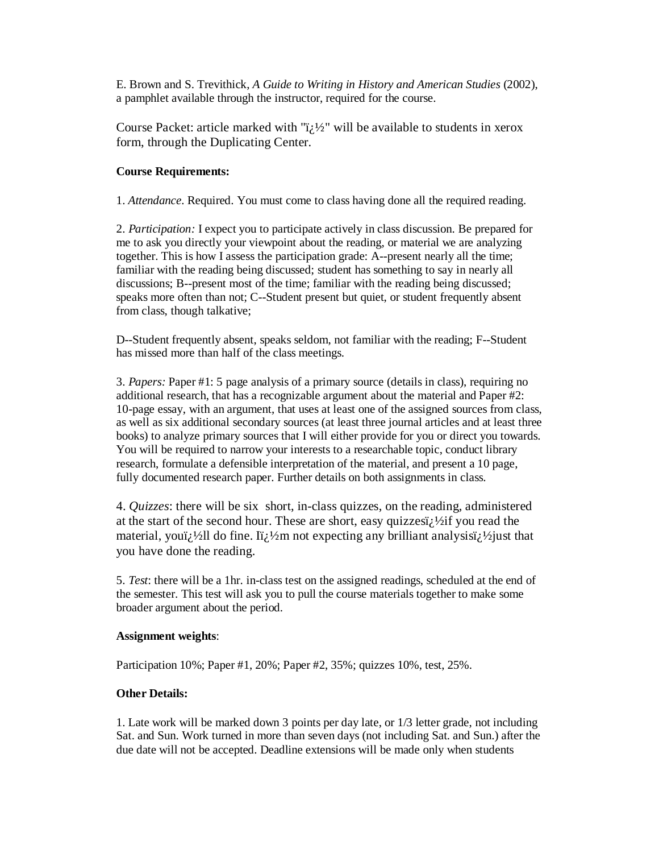E. Brown and S. Trevithick, *A Guide to Writing in History and American Studies* (2002), a pamphlet available through the instructor, required for the course.

Course Packet: article marked with " $\ddot{i}$ ;  $\frac{1}{2}$ " will be available to students in xerox form, through the Duplicating Center.

# **Course Requirements:**

1. *Attendance.* Required. You must come to class having done all the required reading.

2. *Participation:* I expect you to participate actively in class discussion. Be prepared for me to ask you directly your viewpoint about the reading, or material we are analyzing together. This is how I assess the participation grade: A--present nearly all the time; familiar with the reading being discussed; student has something to say in nearly all discussions; B--present most of the time; familiar with the reading being discussed; speaks more often than not; C--Student present but quiet, or student frequently absent from class, though talkative;

D--Student frequently absent, speaks seldom, not familiar with the reading; F--Student has missed more than half of the class meetings.

3. *Papers:* Paper #1: 5 page analysis of a primary source (details in class), requiring no additional research, that has a recognizable argument about the material and Paper #2: 10-page essay, with an argument, that uses at least one of the assigned sources from class, as well as six additional secondary sources (at least three journal articles and at least three books) to analyze primary sources that I will either provide for you or direct you towards. You will be required to narrow your interests to a researchable topic, conduct library research, formulate a defensible interpretation of the material, and present a 10 page, fully documented research paper. Further details on both assignments in class.

4. *Quizzes*: there will be six short, in-class quizzes, on the reading, administered at the start of the second hour. These are short, easy quizzes $i\lambda$  yif you read the material, youi<sub>l</sub> <sup>1</sup>/2ll do fine. Ii<sub>l</sub> <sup>1</sup>/2m not expecting any brilliant analysisi<sub>l</sub> <sup>1</sup>/2 just that you have done the reading.

5. *Test*: there will be a 1hr. in-class test on the assigned readings, scheduled at the end of the semester. This test will ask you to pull the course materials together to make some broader argument about the period.

# **Assignment weights**:

Participation 10%; Paper #1, 20%; Paper #2, 35%; quizzes 10%, test, 25%.

# **Other Details:**

1. Late work will be marked down 3 points per day late, or 1/3 letter grade, not including Sat. and Sun. Work turned in more than seven days (not including Sat. and Sun.) after the due date will not be accepted. Deadline extensions will be made only when students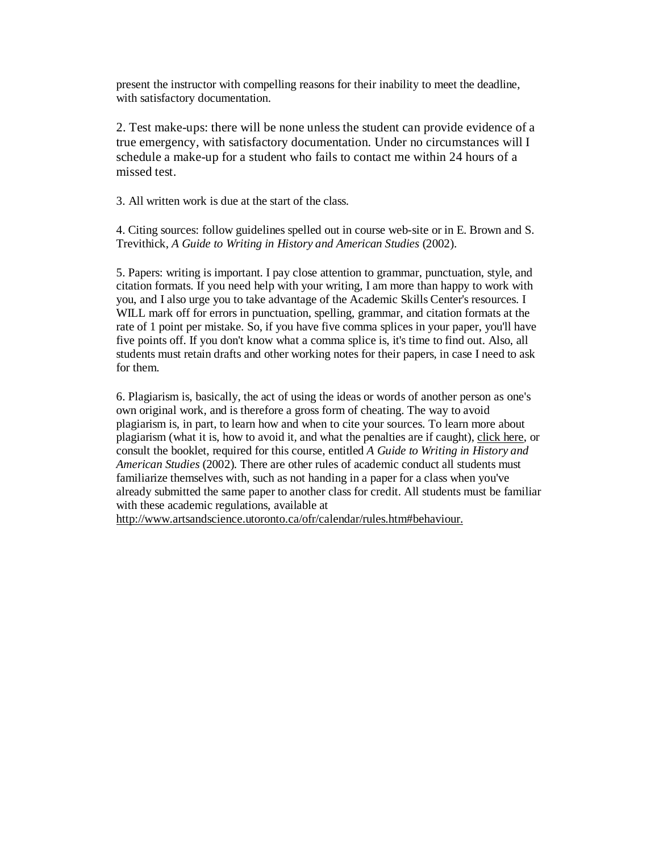present the instructor with compelling reasons for their inability to meet the deadline, with satisfactory documentation.

2. Test make-ups: there will be none unless the student can provide evidence of a true emergency, with satisfactory documentation. Under no circumstances will I schedule a make-up for a student who fails to contact me within 24 hours of a missed test.

3. All written work is due at the start of the class.

4. Citing sources: follow guidelines spelled out in course web-site or in E. Brown and S. Trevithick, *A Guide to Writing in History and American Studies* (2002).

5. Papers: writing is important. I pay close attention to grammar, punctuation, style, and citation formats. If you need help with your writing, I am more than happy to work with you, and I also urge you to take advantage of the Academic Skills Center's resources. I WILL mark off for errors in punctuation, spelling, grammar, and citation formats at the rate of 1 point per mistake. So, if you have five comma splices in your paper, you'll have five points off. If you don't know what a comma splice is, it's time to find out. Also, all students must retain drafts and other working notes for their papers, in case I need to ask for them.

6. Plagiarism is, basically, the act of using the ideas or words of another person as one's own original work, and is therefore a gross form of cheating. The way to avoid plagiarism is, in part, to learn how and when to cite your sources. To learn more about plagiarism (what it is, how to avoid it, and what the penalties are if caught), click here, or consult the booklet, required for this course, entitled *A Guide to Writing in History and American Studies* (2002). There are other rules of academic conduct all students must familiarize themselves with, such as not handing in a paper for a class when you've already submitted the same paper to another class for credit. All students must be familiar with these academic regulations, available at

http://www.artsandscience.utoronto.ca/ofr/calendar/rules.htm#behaviour.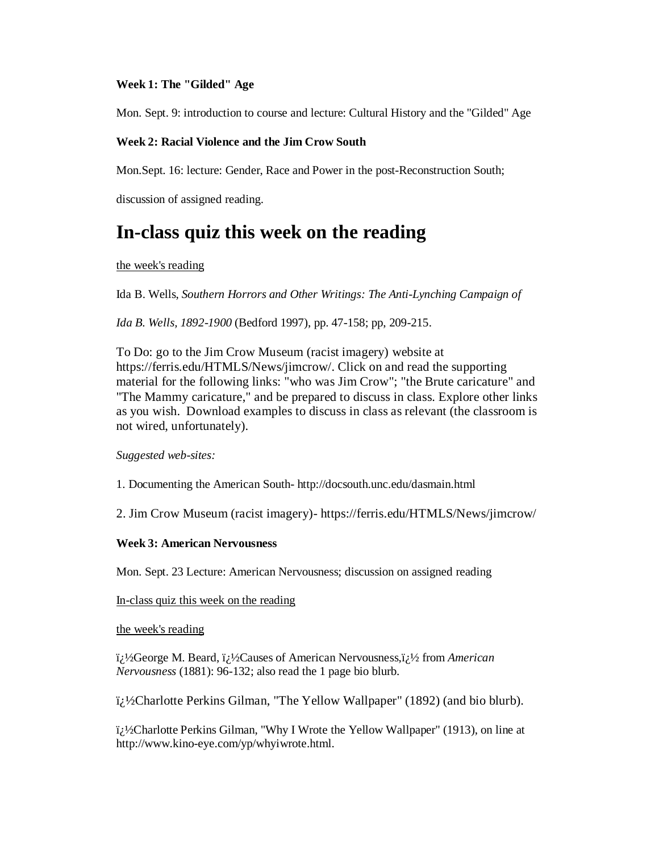# **Week 1: The "Gilded" Age**

Mon. Sept. 9: introduction to course and lecture: Cultural History and the "Gilded" Age

# **Week 2: Racial Violence and the Jim Crow South**

Mon.Sept. 16: lecture: Gender, Race and Power in the post-Reconstruction South;

discussion of assigned reading.

# **In-class quiz this week on the reading**

# the week's reading

Ida B. Wells, *Southern Horrors and Other Writings: The Anti-Lynching Campaign of* 

*Ida B. Wells, 1892-1900* (Bedford 1997), pp. 47-158; pp, 209-215.

To Do: go to the Jim Crow Museum (racist imagery) website at [https://ferris.edu/HTMLS/News/jimcrow/.](https://ferris.edu/HTMLS/News/jimcrow/) Click on and read the supporting material for the following links: "who was Jim Crow"; "the Brute caricature" and "The Mammy caricature," and be prepared to discuss in class. Explore other links as you wish. Download examples to discuss in class as relevant (the classroom is not wired, unfortunately).

# *Suggested web-sites:*

1. Documenting the American South- <http://docsouth.unc.edu/dasmain.html>

2. Jim Crow Museum (racist imagery)- <https://ferris.edu/HTMLS/News/jimcrow/>

# **Week 3: American Nervousness**

Mon. Sept. 23 Lecture: American Nervousness; discussion on assigned reading

# In-class quiz this week on the reading

the week's reading

 $i_L$ <sup>1</sup>/<sub>2</sub>George M. Beard,  $i_L$ <sup>1</sup>/<sub>2</sub>Causes of American Nervousness, $i_L$ <sup>1</sup>/<sub>2</sub> from *American Nervousness* (1881): 96-132; also read the 1 page bio blurb.

i<sub>i</sub>.<sup>1</sup>/<sub>2</sub>Charlotte Perkins Gilman, "The Yellow Wallpaper" (1892) (and bio blurb).

�Charlotte Perkins Gilman, "Why I Wrote the Yellow Wallpaper" (1913), on line at [http://www.kino-eye.com/yp/whyiwrote.html.](http://www.kino-eye.com/yp/whyiwrote.html)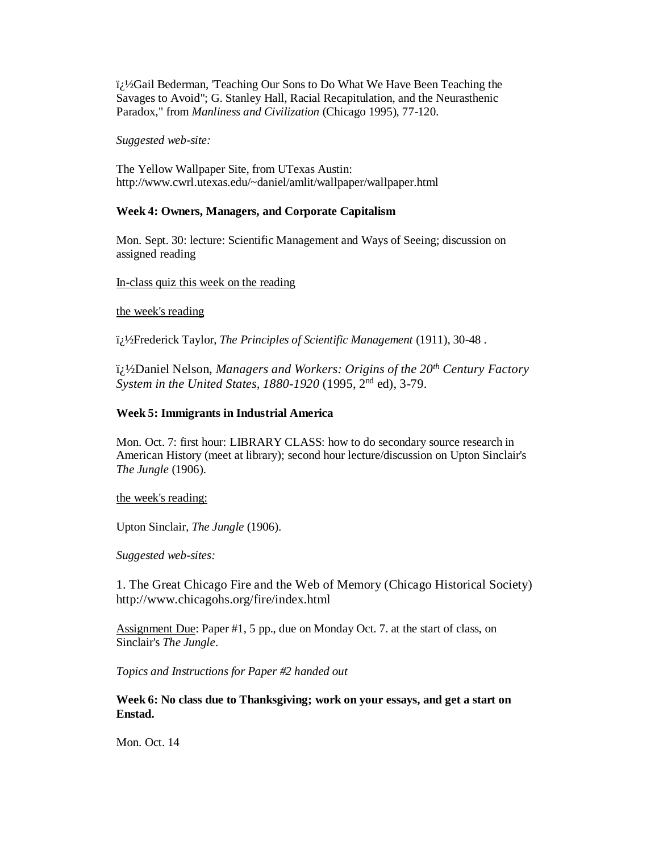�Gail Bederman, 'Teaching Our Sons to Do What We Have Been Teaching the Savages to Avoid"; G. Stanley Hall, Racial Recapitulation, and the Neurasthenic Paradox," from *Manliness and Civilization* (Chicago 1995), 77-120.

*Suggested web-site:* 

The Yellow Wallpaper Site, from UTexas Austin: http://www.cwrl.utexas.edu/~daniel/amlit/wallpaper/wallpaper.html

# **Week 4: Owners, Managers, and Corporate Capitalism**

Mon. Sept. 30: lecture: Scientific Management and Ways of Seeing; discussion on assigned reading

#### In-class quiz this week on the reading

#### the week's reading

�Frederick Taylor, *The Principles of Scientific Management* (1911), 30-48 .

 $i_L$ <sup>1</sup>/2Daniel Nelson, *Managers and Workers: Origins of the 20<sup>th</sup> Century Factory System in the United States, 1880-1920* (1995, 2nd ed), 3-79.

#### **Week 5: Immigrants in Industrial America**

Mon. Oct. 7: first hour: LIBRARY CLASS: how to do secondary source research in American History (meet at library); second hour lecture/discussion on Upton Sinclair's *The Jungle* (1906).

the week's reading:

Upton Sinclair, *The Jungle* (1906).

*Suggested web-sites:*

1. The Great Chicago Fire and the Web of Memory (Chicago Historical Society) <http://www.chicagohs.org/fire/index.html>

Assignment Due: Paper #1, 5 pp., due on Monday Oct. 7. at the start of class, on Sinclair's *The Jungle*.

*Topics and Instructions for Paper #2 handed out* 

**Week 6: No class due to Thanksgiving; work on your essays, and get a start on Enstad.**

Mon. Oct. 14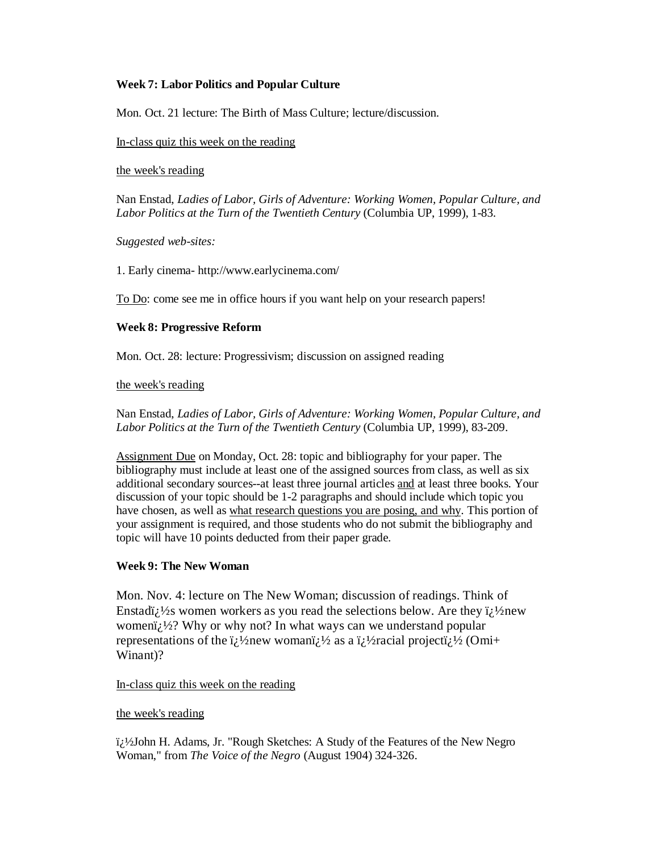# **Week 7: Labor Politics and Popular Culture**

Mon. Oct. 21 lecture: The Birth of Mass Culture; lecture/discussion.

#### In-class quiz this week on the reading

#### the week's reading

Nan Enstad, *Ladies of Labor, Girls of Adventure: Working Women, Popular Culture, and Labor Politics at the Turn of the Twentieth Century* (Columbia UP, 1999), 1-83.

*Suggested web-sites:*

1. Early cinema- <http://www.earlycinema.com/>

To Do: come see me in office hours if you want help on your research papers!

#### **Week 8: Progressive Reform**

Mon. Oct. 28: lecture: Progressivism; discussion on assigned reading

#### the week's reading

Nan Enstad, *Ladies of Labor, Girls of Adventure: Working Women, Popular Culture, and Labor Politics at the Turn of the Twentieth Century* (Columbia UP, 1999), 83-209.

Assignment Due on Monday, Oct. 28: topic and bibliography for your paper. The bibliography must include at least one of the assigned sources from class, as well as six additional secondary sources--at least three journal articles and at least three books. Your discussion of your topic should be 1-2 paragraphs and should include which topic you have chosen, as well as what research questions you are posing, and why. This portion of your assignment is required, and those students who do not submit the bibliography and topic will have 10 points deducted from their paper grade.

#### **Week 9: The New Woman**

Mon. Nov. 4: lecture on The New Woman; discussion of readings. Think of Enstadi $\chi$ <sup>1</sup>/<sub>2</sub>s women workers as you read the selections below. Are they  $\chi$ <sup>1</sup>/<sub>2</sub>new womeni $\chi/2$ ? Why or why not? In what ways can we understand popular representations of the  $i_l$ <sup>1</sup>/2new woman $i_l$ <sup>1</sup>/2 as a  $i_l$ <sup>1</sup>/2racial project $i_l$ <sup>1</sup>/2 (Omi+ Winant)?

#### In-class quiz this week on the reading

#### the week's reading

 $\ddot{\mathbf{i}}$ ;  $\frac{1}{2}$ John H. Adams, Jr. "Rough Sketches: A Study of the Features of the New Negro Woman," from *The Voice of the Negro* (August 1904) 324-326.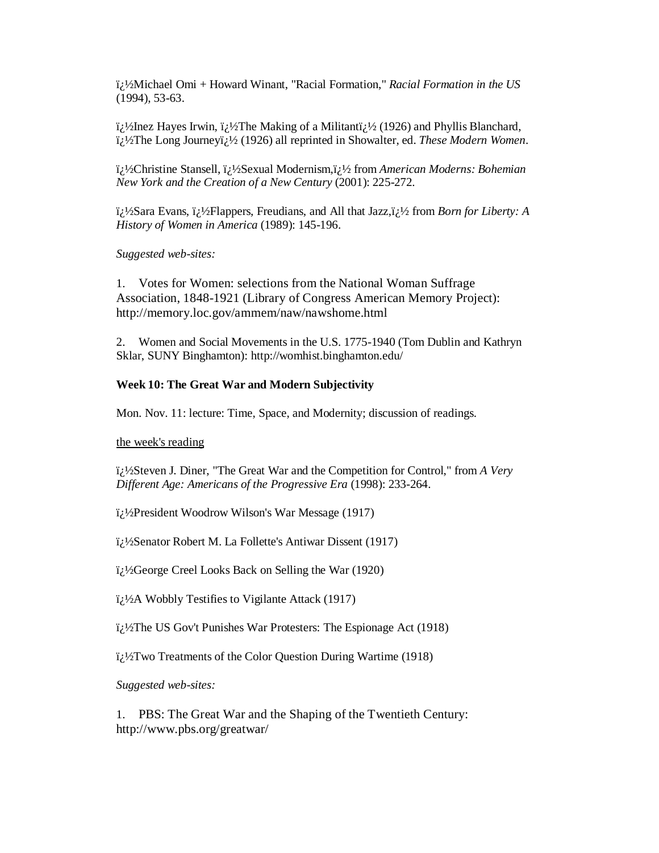�Michael Omi + Howard Winant, "Racial Formation," *Racial Formation in the US* (1994), 53-63.

 $\frac{7}{2}$ lnez Hayes Irwin,  $\frac{7}{2}$ The Making of a Militanti;  $\frac{1}{2}$  (1926) and Phyllis Blanchard,  $\ddot{\mathbf{i}}$ <sub>*i*</sub> $\frac{1}{2}$ The Long Journey $\ddot{\mathbf{i}}$ <sub>i</sub> $\frac{1}{2}$  (1926) all reprinted in Showalter, ed. *These Modern Women*.

 $\ddot{\mathbf{i}}_k$ <sup>1</sup>/<sub>2</sub>Christine Stansell,  $\ddot{\mathbf{i}}_k$ <sup>1</sup>/<sub>2</sub>Sexual Modernism, $\ddot{\mathbf{i}}_k$ <sup>1</sup>/<sub>2</sub> from *American Moderns: Bohemian New York and the Creation of a New Century* (2001): 225-272.

 $\ddot{\mathbf{i}}_l$ <sup>1</sup>/<sub>2</sub>Sara Evans,  $\ddot{\mathbf{i}}_l$ <sup>1</sup>/<sub>2</sub>Flappers, Freudians, and All that Jazz, $\ddot{\mathbf{i}}_l$ <sup>1</sup>/<sub>2</sub> from *Born for Liberty: A History of Women in America* (1989): 145-196.

*Suggested web-sites:*

1. Votes for Women: selections from the National Woman Suffrage Association, 1848-1921 (Library of Congress American Memory Project): <http://memory.loc.gov/ammem/naw/nawshome.html>

2. Women and Social Movements in the U.S. 1775-1940 (Tom Dublin and Kathryn Sklar, SUNY Binghamton):<http://womhist.binghamton.edu/>

#### **Week 10: The Great War and Modern Subjectivity**

Mon. Nov. 11: lecture: Time, Space, and Modernity; discussion of readings.

the week's reading

 $\ddot{\mathbf{i}}$ ;<sup>1</sup>/2Steven J. Diner, "The Great War and the Competition for Control," from *A Very Different Age: Americans of the Progressive Era* (1998): 233-264.

 $i_{\mathcal{L}}$ <sup>1</sup>/<sub>2</sub>President Woodrow Wilson's War Message (1917)

 $i/2$ Senator Robert M. La Follette's Antiwar Dissent (1917)

 $i_L$ <sup>1</sup>/<sub>2</sub>George Creel Looks Back on Selling the War (1920)

 $i/2A$  Wobbly Testifies to Vigilante Attack (1917)

 $i\lambda$ <sup>1</sup>/<sub>2</sub>The US Gov't Punishes War Protesters: The Espionage Act (1918)

 $i_L$ <sup>1</sup>/2Two Treatments of the Color Question During Wartime (1918)

*Suggested web-sites:*

1. PBS: The Great War and the Shaping of the Twentieth Century: <http://www.pbs.org/greatwar/>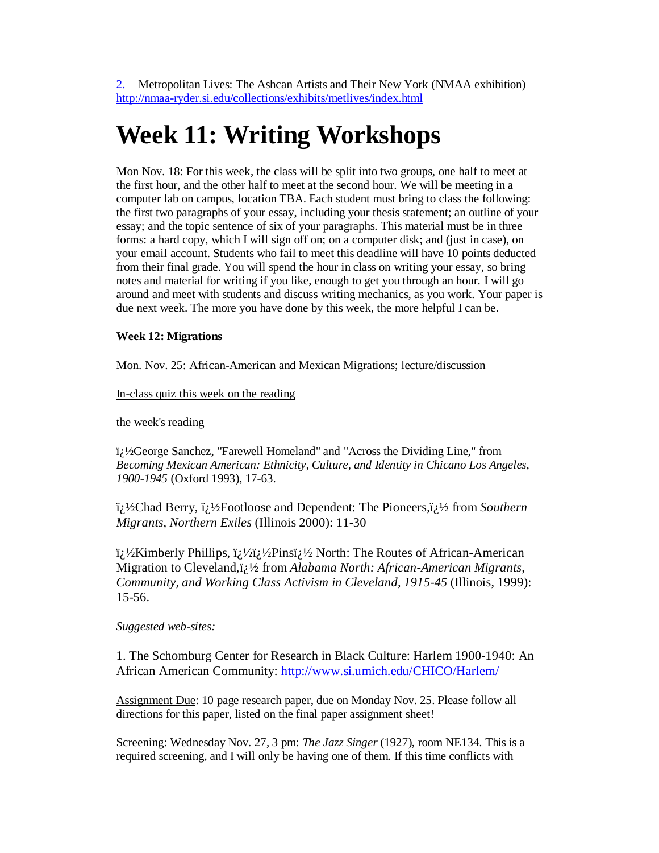2. Metropolitan Lives: The Ashcan Artists and Their New York (NMAA exhibition) <http://nmaa-ryder.si.edu/collections/exhibits/metlives/index.html>

# **Week 11: Writing Workshops**

Mon Nov. 18: For this week, the class will be split into two groups, one half to meet at the first hour, and the other half to meet at the second hour. We will be meeting in a computer lab on campus, location TBA. Each student must bring to class the following: the first two paragraphs of your essay, including your thesis statement; an outline of your essay; and the topic sentence of six of your paragraphs. This material must be in three forms: a hard copy, which I will sign off on; on a computer disk; and (just in case), on your email account. Students who fail to meet this deadline will have 10 points deducted from their final grade. You will spend the hour in class on writing your essay, so bring notes and material for writing if you like, enough to get you through an hour. I will go around and meet with students and discuss writing mechanics, as you work. Your paper is due next week. The more you have done by this week, the more helpful I can be.

# **Week 12: Migrations**

Mon. Nov. 25: African-American and Mexican Migrations; lecture/discussion

In-class quiz this week on the reading

the week's reading

�George Sanchez, "Farewell Homeland" and "Across the Dividing Line," from *Becoming Mexican American: Ethnicity, Culture, and Identity in Chicano Los Angeles, 1900-1945* (Oxford 1993), 17-63.

 $\ddot{\mathbf{i}}_k$ <sup>1</sup>/<sub>2</sub>Chad Berry,  $\ddot{\mathbf{i}}_k$ <sup>1</sup>/<sub>2</sub>Footloose and Dependent: The Pioneers, $\ddot{\mathbf{i}}_k$ <sup>1</sup>/<sub>2</sub> from *Southern Migrants, Northern Exiles* (Illinois 2000): 11-30

 $\ddot{\mathcal{U}}_L$ <sup>1</sup>/2Kimberly Phillips,  $\ddot{\mathcal{U}}_L$ <sup>1</sup>/2Pins $\ddot{\mathcal{U}}_L$ <sup>1</sup>/2 North: The Routes of African-American Migration to Cleveland, $\ddot{u}$ ; <sup>1</sup>/<sub>2</sub> from *Alabama North: African-American Migrants, Community, and Working Class Activism in Cleveland, 1915-45* (Illinois, 1999): 15-56.

*Suggested web-sites:*

1. The Schomburg Center for Research in Black Culture: Harlem 1900-1940: An African American Community:<http://www.si.umich.edu/CHICO/Harlem/>

Assignment Due: 10 page research paper, due on Monday Nov. 25. Please follow all directions for this paper, listed on the final paper assignment sheet!

Screening: Wednesday Nov. 27, 3 pm: *The Jazz Singer* (1927), room NE134. This is a required screening, and I will only be having one of them. If this time conflicts with